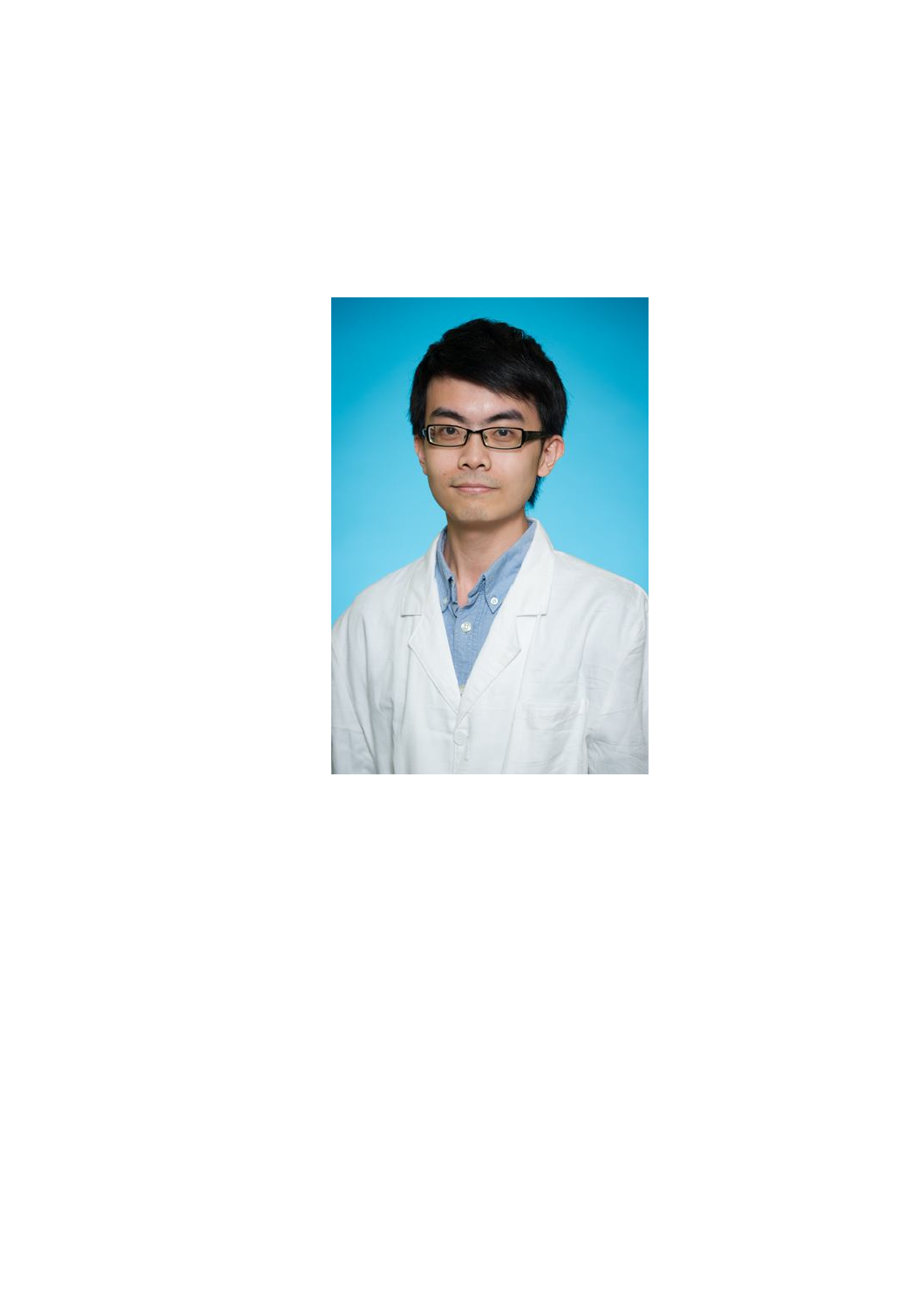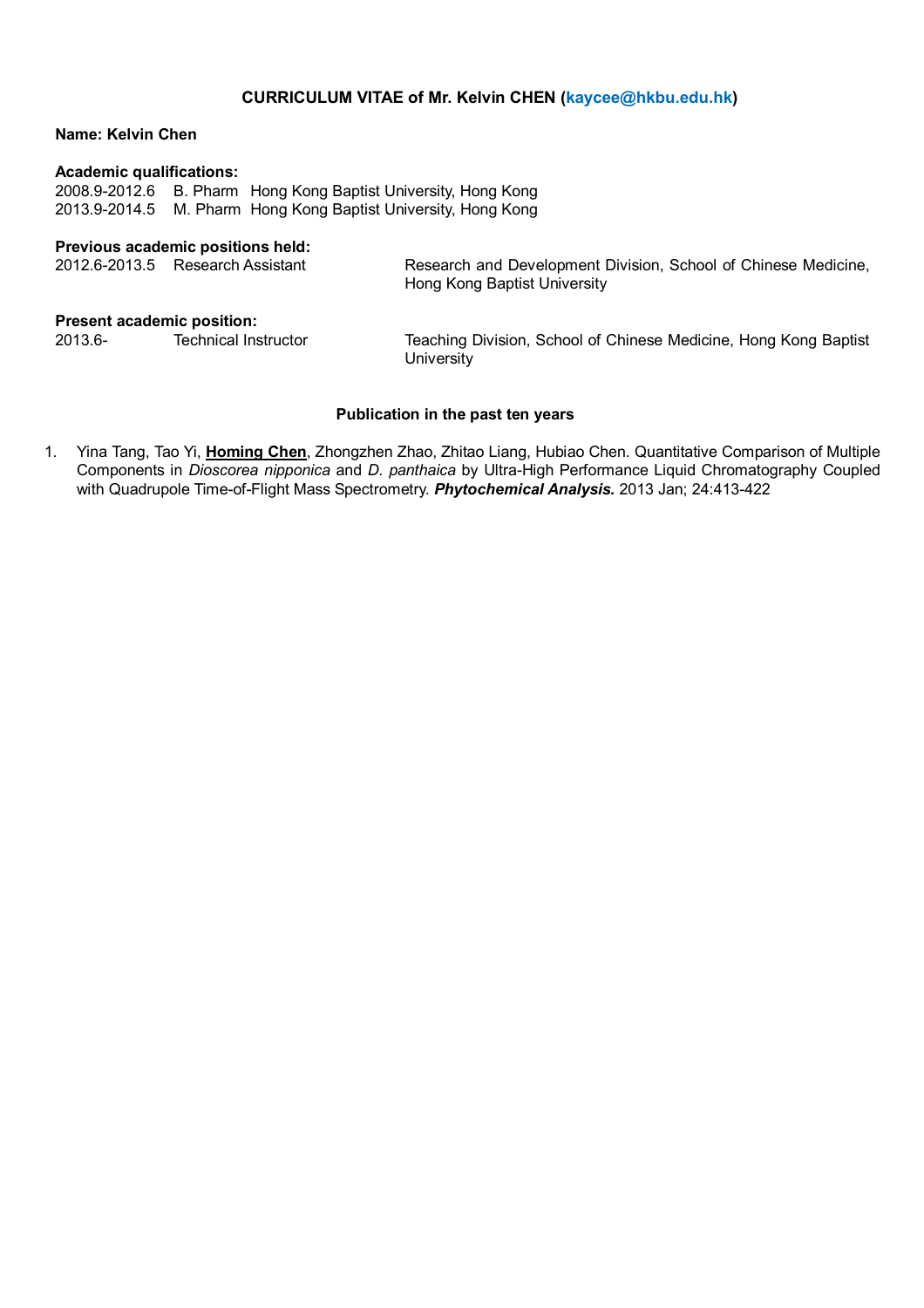# **CURRICULUM VITAE of Mr. Kelvin CHEN (kaycee@hkbu.edu.hk)**

## **Name: Kelvin Chen**

### **Academic qualifications:**

2008.9-2012.6 B. Pharm Hong Kong Baptist University, Hong Kong 2013.9-2014.5 M. Pharm Hong Kong Baptist University, Hong Kong

### **Previous academic positions held:**

| 2012.6-2013.5 Research Assistant | Research and Development Division, School of Chinese Medicine, |
|----------------------------------|----------------------------------------------------------------|
|                                  | Hong Kong Baptist University                                   |

# **Present academic position:**

2013.6- Technical Instructor Teaching Division, School of Chinese Medicine, Hong Kong Baptist **University** 

### **Publication in the past ten years**

1. Yina Tang, Tao Yi, **Homing Chen**, Zhongzhen Zhao, Zhitao Liang, Hubiao Chen. Quantitative Comparison of Multiple Components in *Dioscorea nipponica* and *D. panthaica* by Ultra-High Performance Liquid Chromatography Coupled with Quadrupole Time-of-Flight Mass Spectrometry. *Phytochemical Analysis.* 2013 Jan; 24:413-422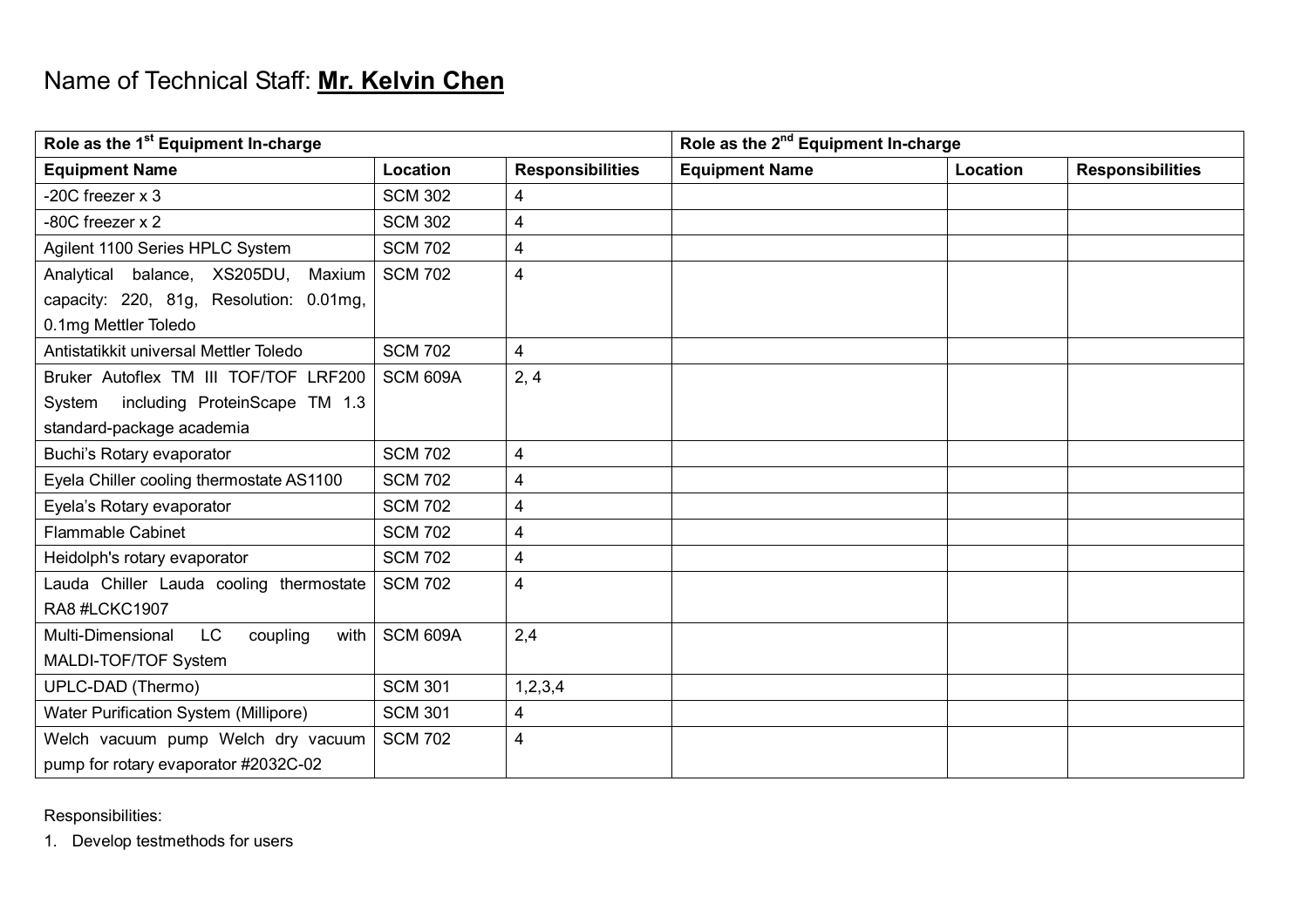| Role as the 1 <sup>st</sup> Equipment In-charge | Role as the 2 <sup>nd</sup> Equipment In-charge |                         |                       |          |                         |
|-------------------------------------------------|-------------------------------------------------|-------------------------|-----------------------|----------|-------------------------|
| <b>Equipment Name</b>                           | Location                                        | <b>Responsibilities</b> | <b>Equipment Name</b> | Location | <b>Responsibilities</b> |
| -20C freezer x 3                                | <b>SCM 302</b>                                  | 4                       |                       |          |                         |
| -80C freezer x 2                                | <b>SCM 302</b>                                  | $\overline{\mathbf{4}}$ |                       |          |                         |
| Agilent 1100 Series HPLC System                 | <b>SCM 702</b>                                  | $\overline{\mathbf{4}}$ |                       |          |                         |
| Analytical balance, XS205DU, Maxium             | <b>SCM 702</b>                                  | $\overline{\mathbf{4}}$ |                       |          |                         |
| capacity: 220, 81g, Resolution: 0.01mg,         |                                                 |                         |                       |          |                         |
| 0.1mg Mettler Toledo                            |                                                 |                         |                       |          |                         |
| Antistatikkit universal Mettler Toledo          | <b>SCM 702</b>                                  | $\overline{4}$          |                       |          |                         |
| Bruker Autoflex TM III TOF/TOF LRF200           | <b>SCM 609A</b>                                 | 2, 4                    |                       |          |                         |
| System including ProteinScape TM 1.3            |                                                 |                         |                       |          |                         |
| standard-package academia                       |                                                 |                         |                       |          |                         |
| Buchi's Rotary evaporator                       | <b>SCM 702</b>                                  | $\overline{\mathbf{4}}$ |                       |          |                         |
| Eyela Chiller cooling thermostate AS1100        | <b>SCM 702</b>                                  | $\overline{\mathbf{4}}$ |                       |          |                         |
| Eyela's Rotary evaporator                       | <b>SCM 702</b>                                  | $\overline{\mathbf{4}}$ |                       |          |                         |
| <b>Flammable Cabinet</b>                        | <b>SCM 702</b>                                  | $\overline{\mathbf{4}}$ |                       |          |                         |
| Heidolph's rotary evaporator                    | <b>SCM 702</b>                                  | $\overline{\mathbf{4}}$ |                       |          |                         |
| Lauda Chiller Lauda cooling thermostate         | <b>SCM 702</b>                                  | $\overline{4}$          |                       |          |                         |
| <b>RA8 #LCKC1907</b>                            |                                                 |                         |                       |          |                         |
| Multi-Dimensional<br>LC<br>coupling<br>with     | <b>SCM 609A</b>                                 | 2,4                     |                       |          |                         |
| MALDI-TOF/TOF System                            |                                                 |                         |                       |          |                         |
| UPLC-DAD (Thermo)                               | <b>SCM 301</b>                                  | 1,2,3,4                 |                       |          |                         |
| Water Purification System (Millipore)           | <b>SCM 301</b>                                  | $\overline{4}$          |                       |          |                         |
| Welch vacuum pump Welch dry vacuum              | <b>SCM 702</b>                                  | $\overline{\mathbf{4}}$ |                       |          |                         |
| pump for rotary evaporator #2032C-02            |                                                 |                         |                       |          |                         |

Responsibilities:

1. Develop testmethods for users